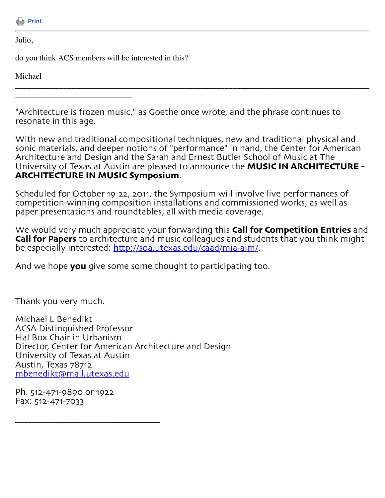

Julio,

do you think ACS members will be interested in this?

\_\_\_\_\_\_\_\_\_\_\_\_\_\_\_\_\_\_\_\_\_\_\_\_\_\_\_\_\_

Michael

"Architecture is frozen music," as Goethe once wrote, and the phrase continues to resonate in this age.

With new and traditional compositional techniques, new and traditional physical and sonic materials, and deeper notions of "performance" in hand, the Center for American Architecture and Design and the Sarah and Ernest Butler School of Music at The University of Texas at Austin are pleased to announce the **MUSIC IN ARCHITECTURE - ARCHITECTURE IN MUSIC Symposium**.

\_\_\_\_\_\_\_\_\_\_\_\_\_\_\_\_\_\_\_\_\_\_\_\_\_\_\_\_\_\_\_\_\_\_\_\_\_\_\_\_\_\_\_\_\_\_\_\_\_\_\_\_\_\_\_\_\_\_\_\_\_\_\_\_\_\_\_\_\_\_\_\_\_\_\_\_\_\_\_\_\_\_\_\_\_\_\_\_

Scheduled for October 19-22, 2011, the Symposium will involve live performances of competition-winning composition installations and commissioned works, as well as paper presentations and roundtables, all with media coverage.

We would very much appreciate your forwarding this **Call for Competition Entries** and **Call for Papers** to architecture and music colleagues and students that you think might be especially interested: http://soa.utexas.[edu/caad/mia](http://soa.utexas.edu/caad/mia-aim/)-aim/.

And we hope **you** give some some thought to participating too.

Thank you very much.

Michael L Benedikt ACSA Distinguished Professor Hal Box Chair in Urbanism Director, Center for American Architecture and Design University of Texas at Austin Austin, Texas 78712 [mbenedikt@mail](mailto:mbenedikt@mail.utexas.edu).utexas.edu

Ph. 512-471-9890 or 1922 Fax: 512-471-7033

\_\_\_\_\_\_\_\_\_\_\_\_\_\_\_\_\_\_\_\_\_\_\_\_\_\_\_\_\_\_\_\_\_\_\_\_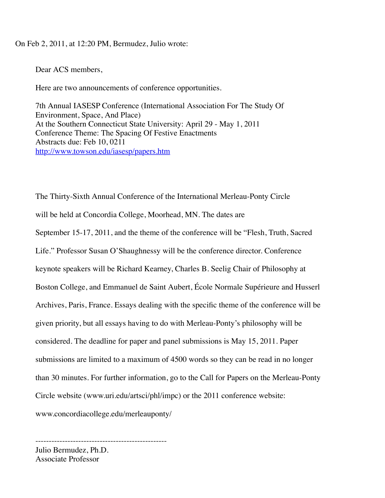## On Feb 2, 2011, at 12:20 PM, Bermudez, Julio wrote:

Dear ACS members,

Here are two announcements of conference opportunities.

7th Annual IASESP Conference (International Association For The Study Of Environment, Space, And Place) At the Southern Connecticut State University: April 29 - May 1, 2011 Conference Theme: The Spacing Of Festive Enactments Abstracts due: Feb 10, 0211 <http://www.towson.edu/iasesp/papers.htm>

The Thirty-Sixth Annual Conference of the International Merleau-Ponty Circle will be held at Concordia College, Moorhead, MN. The dates are September 15-17, 2011, and the theme of the conference will be "Flesh, Truth, Sacred Life." Professor Susan O'Shaughnessy will be the conference director. Conference keynote speakers will be Richard Kearney, Charles B. Seelig Chair of Philosophy at Boston College, and Emmanuel de Saint Aubert, École Normale Supérieure and Husserl Archives, Paris, France. Essays dealing with the specific theme of the conference will be given priority, but all essays having to do with Merleau-Ponty's philosophy will be considered. The deadline for paper and panel submissions is May 15, 2011. Paper submissions are limited to a maximum of 4500 words so they can be read in no longer than 30 minutes. For further information, go to the Call for Papers on the Merleau-Ponty Circle website (www.uri.edu/artsci/phl/impc) or the 2011 conference website: www.concordiacollege.edu/merleauponty/

------------------------------------------------- Julio Bermudez, Ph.D. Associate Professor